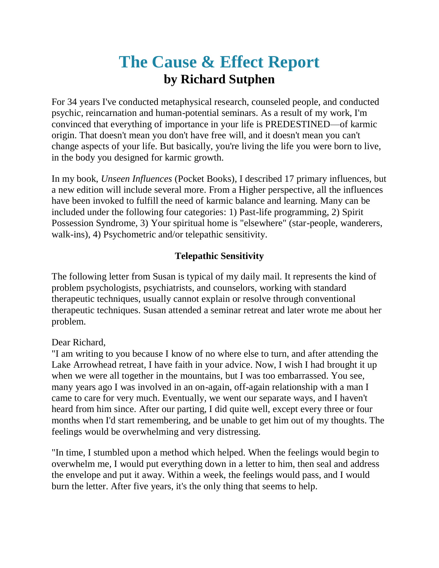# **The Cause & Effect Report by Richard Sutphen**

For 34 years I've conducted metaphysical research, counseled people, and conducted psychic, reincarnation and human-potential seminars. As a result of my work, I'm convinced that everything of importance in your life is PREDESTINED—of karmic origin. That doesn't mean you don't have free will, and it doesn't mean you can't change aspects of your life. But basically, you're living the life you were born to live, in the body you designed for karmic growth.

In my book, *Unseen Influences* (Pocket Books), I described 17 primary influences, but a new edition will include several more. From a Higher perspective, all the influences have been invoked to fulfill the need of karmic balance and learning. Many can be included under the following four categories: 1) Past-life programming, 2) Spirit Possession Syndrome, 3) Your spiritual home is "elsewhere" (star-people, wanderers, walk-ins), 4) Psychometric and/or telepathic sensitivity.

#### **Telepathic Sensitivity**

The following letter from Susan is typical of my daily mail. It represents the kind of problem psychologists, psychiatrists, and counselors, working with standard therapeutic techniques, usually cannot explain or resolve through conventional therapeutic techniques. Susan attended a seminar retreat and later wrote me about her problem.

#### Dear Richard,

"I am writing to you because I know of no where else to turn, and after attending the Lake Arrowhead retreat, I have faith in your advice. Now, I wish I had brought it up when we were all together in the mountains, but I was too embarrassed. You see, many years ago I was involved in an on-again, off-again relationship with a man I came to care for very much. Eventually, we went our separate ways, and I haven't heard from him since. After our parting, I did quite well, except every three or four months when I'd start remembering, and be unable to get him out of my thoughts. The feelings would be overwhelming and very distressing.

"In time, I stumbled upon a method which helped. When the feelings would begin to overwhelm me, I would put everything down in a letter to him, then seal and address the envelope and put it away. Within a week, the feelings would pass, and I would burn the letter. After five years, it's the only thing that seems to help.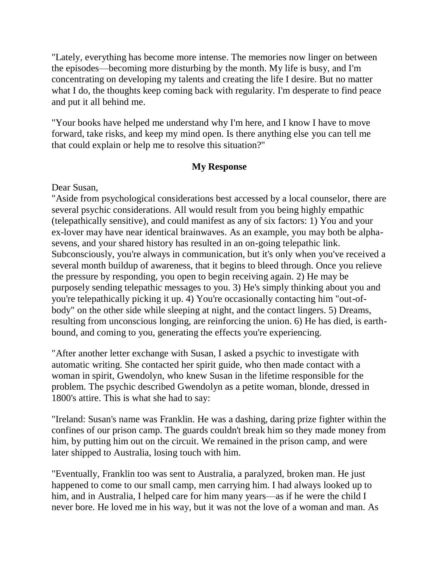"Lately, everything has become more intense. The memories now linger on between the episodes—becoming more disturbing by the month. My life is busy, and I'm concentrating on developing my talents and creating the life I desire. But no matter what I do, the thoughts keep coming back with regularity. I'm desperate to find peace and put it all behind me.

"Your books have helped me understand why I'm here, and I know I have to move forward, take risks, and keep my mind open. Is there anything else you can tell me that could explain or help me to resolve this situation?"

#### **My Response**

Dear Susan,

"Aside from psychological considerations best accessed by a local counselor, there are several psychic considerations. All would result from you being highly empathic (telepathically sensitive), and could manifest as any of six factors: 1) You and your ex-lover may have near identical brainwaves. As an example, you may both be alphasevens, and your shared history has resulted in an on-going telepathic link. Subconsciously, you're always in communication, but it's only when you've received a several month buildup of awareness, that it begins to bleed through. Once you relieve the pressure by responding, you open to begin receiving again. 2) He may be purposely sending telepathic messages to you. 3) He's simply thinking about you and you're telepathically picking it up. 4) You're occasionally contacting him "out-ofbody" on the other side while sleeping at night, and the contact lingers. 5) Dreams, resulting from unconscious longing, are reinforcing the union. 6) He has died, is earthbound, and coming to you, generating the effects you're experiencing.

"After another letter exchange with Susan, I asked a psychic to investigate with automatic writing. She contacted her spirit guide, who then made contact with a woman in spirit, Gwendolyn, who knew Susan in the lifetime responsible for the problem. The psychic described Gwendolyn as a petite woman, blonde, dressed in 1800's attire. This is what she had to say:

"Ireland: Susan's name was Franklin. He was a dashing, daring prize fighter within the confines of our prison camp. The guards couldn't break him so they made money from him, by putting him out on the circuit. We remained in the prison camp, and were later shipped to Australia, losing touch with him.

"Eventually, Franklin too was sent to Australia, a paralyzed, broken man. He just happened to come to our small camp, men carrying him. I had always looked up to him, and in Australia, I helped care for him many years—as if he were the child I never bore. He loved me in his way, but it was not the love of a woman and man. As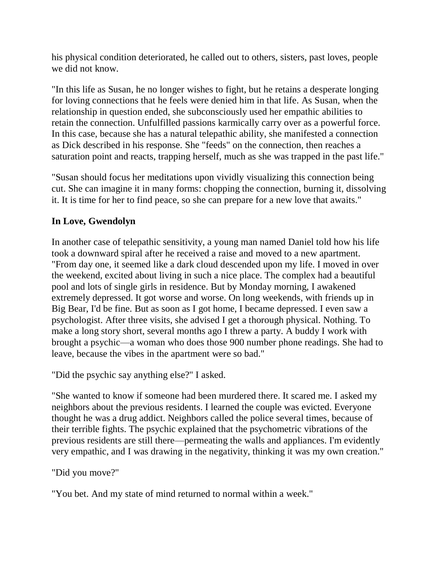his physical condition deteriorated, he called out to others, sisters, past loves, people we did not know.

"In this life as Susan, he no longer wishes to fight, but he retains a desperate longing for loving connections that he feels were denied him in that life. As Susan, when the relationship in question ended, she subconsciously used her empathic abilities to retain the connection. Unfulfilled passions karmically carry over as a powerful force. In this case, because she has a natural telepathic ability, she manifested a connection as Dick described in his response. She "feeds" on the connection, then reaches a saturation point and reacts, trapping herself, much as she was trapped in the past life."

"Susan should focus her meditations upon vividly visualizing this connection being cut. She can imagine it in many forms: chopping the connection, burning it, dissolving it. It is time for her to find peace, so she can prepare for a new love that awaits."

#### **In Love, Gwendolyn**

In another case of telepathic sensitivity, a young man named Daniel told how his life took a downward spiral after he received a raise and moved to a new apartment. "From day one, it seemed like a dark cloud descended upon my life. I moved in over the weekend, excited about living in such a nice place. The complex had a beautiful pool and lots of single girls in residence. But by Monday morning, I awakened extremely depressed. It got worse and worse. On long weekends, with friends up in Big Bear, I'd be fine. But as soon as I got home, I became depressed. I even saw a psychologist. After three visits, she advised I get a thorough physical. Nothing. To make a long story short, several months ago I threw a party. A buddy I work with brought a psychic—a woman who does those 900 number phone readings. She had to leave, because the vibes in the apartment were so bad."

"Did the psychic say anything else?" I asked.

"She wanted to know if someone had been murdered there. It scared me. I asked my neighbors about the previous residents. I learned the couple was evicted. Everyone thought he was a drug addict. Neighbors called the police several times, because of their terrible fights. The psychic explained that the psychometric vibrations of the previous residents are still there—permeating the walls and appliances. I'm evidently very empathic, and I was drawing in the negativity, thinking it was my own creation."

"Did you move?"

"You bet. And my state of mind returned to normal within a week."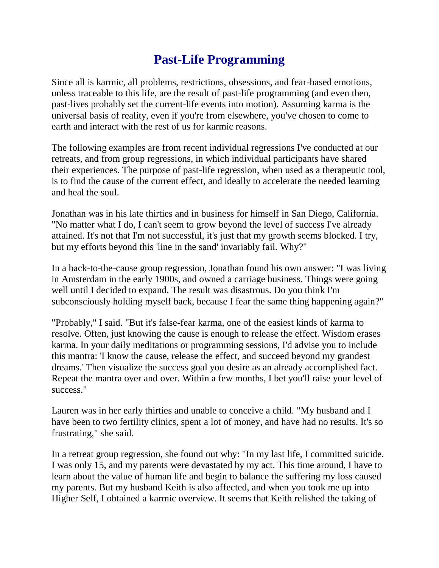# **Past-Life Programming**

Since all is karmic, all problems, restrictions, obsessions, and fear-based emotions, unless traceable to this life, are the result of past-life programming (and even then, past-lives probably set the current-life events into motion). Assuming karma is the universal basis of reality, even if you're from elsewhere, you've chosen to come to earth and interact with the rest of us for karmic reasons.

The following examples are from recent individual regressions I've conducted at our retreats, and from group regressions, in which individual participants have shared their experiences. The purpose of past-life regression, when used as a therapeutic tool, is to find the cause of the current effect, and ideally to accelerate the needed learning and heal the soul.

Jonathan was in his late thirties and in business for himself in San Diego, California. "No matter what I do, I can't seem to grow beyond the level of success I've already attained. It's not that I'm not successful, it's just that my growth seems blocked. I try, but my efforts beyond this 'line in the sand' invariably fail. Why?"

In a back-to-the-cause group regression, Jonathan found his own answer: "I was living in Amsterdam in the early 1900s, and owned a carriage business. Things were going well until I decided to expand. The result was disastrous. Do you think I'm subconsciously holding myself back, because I fear the same thing happening again?"

"Probably," I said. "But it's false-fear karma, one of the easiest kinds of karma to resolve. Often, just knowing the cause is enough to release the effect. Wisdom erases karma. In your daily meditations or programming sessions, I'd advise you to include this mantra: 'I know the cause, release the effect, and succeed beyond my grandest dreams.' Then visualize the success goal you desire as an already accomplished fact. Repeat the mantra over and over. Within a few months, I bet you'll raise your level of success."

Lauren was in her early thirties and unable to conceive a child. "My husband and I have been to two fertility clinics, spent a lot of money, and have had no results. It's so frustrating," she said.

In a retreat group regression, she found out why: "In my last life, I committed suicide. I was only 15, and my parents were devastated by my act. This time around, I have to learn about the value of human life and begin to balance the suffering my loss caused my parents. But my husband Keith is also affected, and when you took me up into Higher Self, I obtained a karmic overview. It seems that Keith relished the taking of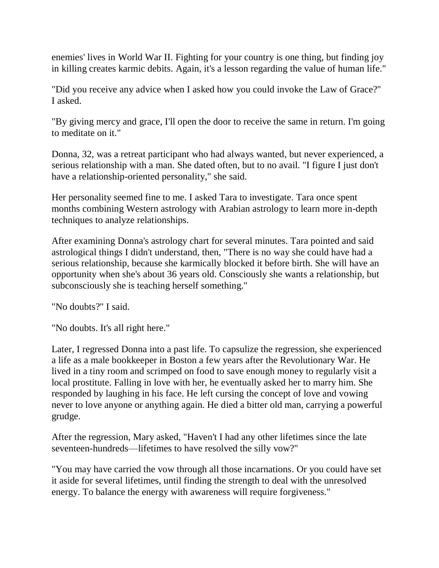enemies' lives in World War II. Fighting for your country is one thing, but finding joy in killing creates karmic debits. Again, it's a lesson regarding the value of human life."

"Did you receive any advice when I asked how you could invoke the Law of Grace?" I asked.

"By giving mercy and grace, I'll open the door to receive the same in return. I'm going to meditate on it."

Donna, 32, was a retreat participant who had always wanted, but never experienced, a serious relationship with a man. She dated often, but to no avail. "I figure I just don't have a relationship-oriented personality," she said.

Her personality seemed fine to me. I asked Tara to investigate. Tara once spent months combining Western astrology with Arabian astrology to learn more in-depth techniques to analyze relationships.

After examining Donna's astrology chart for several minutes. Tara pointed and said astrological things I didn't understand, then, "There is no way she could have had a serious relationship, because she karmically blocked it before birth. She will have an opportunity when she's about 36 years old. Consciously she wants a relationship, but subconsciously she is teaching herself something."

"No doubts?" I said.

"No doubts. It's all right here."

Later, I regressed Donna into a past life. To capsulize the regression, she experienced a life as a male bookkeeper in Boston a few years after the Revolutionary War. He lived in a tiny room and scrimped on food to save enough money to regularly visit a local prostitute. Falling in love with her, he eventually asked her to marry him. She responded by laughing in his face. He left cursing the concept of love and vowing never to love anyone or anything again. He died a bitter old man, carrying a powerful grudge.

After the regression, Mary asked, "Haven't I had any other lifetimes since the late seventeen-hundreds—lifetimes to have resolved the silly vow?"

"You may have carried the vow through all those incarnations. Or you could have set it aside for several lifetimes, until finding the strength to deal with the unresolved energy. To balance the energy with awareness will require forgiveness."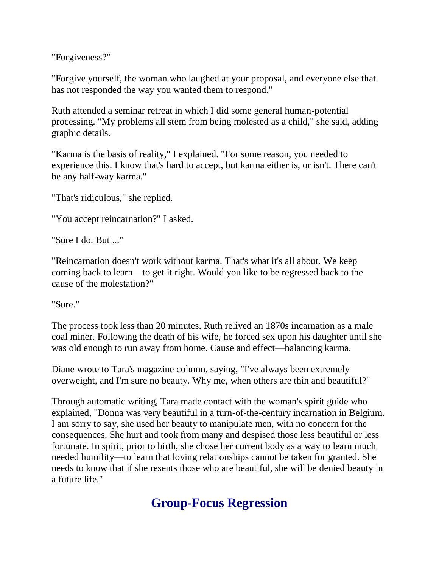"Forgiveness?"

"Forgive yourself, the woman who laughed at your proposal, and everyone else that has not responded the way you wanted them to respond."

Ruth attended a seminar retreat in which I did some general human-potential processing. "My problems all stem from being molested as a child," she said, adding graphic details.

"Karma is the basis of reality," I explained. "For some reason, you needed to experience this. I know that's hard to accept, but karma either is, or isn't. There can't be any half-way karma."

"That's ridiculous," she replied.

"You accept reincarnation?" I asked.

"Sure I do. But ..."

"Reincarnation doesn't work without karma. That's what it's all about. We keep coming back to learn—to get it right. Would you like to be regressed back to the cause of the molestation?"

"Sure."

The process took less than 20 minutes. Ruth relived an 1870s incarnation as a male coal miner. Following the death of his wife, he forced sex upon his daughter until she was old enough to run away from home. Cause and effect—balancing karma.

Diane wrote to Tara's magazine column, saying, "I've always been extremely overweight, and I'm sure no beauty. Why me, when others are thin and beautiful?"

Through automatic writing, Tara made contact with the woman's spirit guide who explained, "Donna was very beautiful in a turn-of-the-century incarnation in Belgium. I am sorry to say, she used her beauty to manipulate men, with no concern for the consequences. She hurt and took from many and despised those less beautiful or less fortunate. In spirit, prior to birth, she chose her current body as a way to learn much needed humility—to learn that loving relationships cannot be taken for granted. She needs to know that if she resents those who are beautiful, she will be denied beauty in a future life."

# **Group-Focus Regression**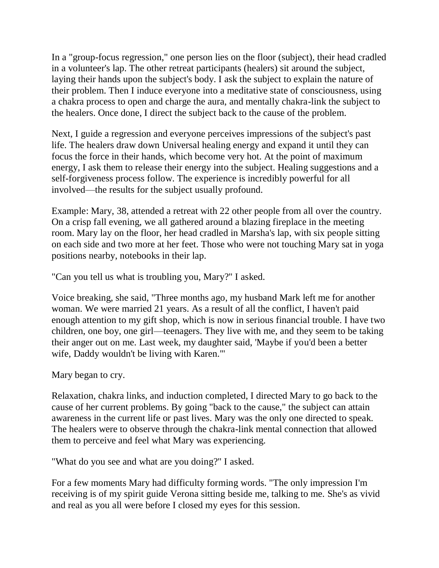In a "group-focus regression," one person lies on the floor (subject), their head cradled in a volunteer's lap. The other retreat participants (healers) sit around the subject, laying their hands upon the subject's body. I ask the subject to explain the nature of their problem. Then I induce everyone into a meditative state of consciousness, using a chakra process to open and charge the aura, and mentally chakra-link the subject to the healers. Once done, I direct the subject back to the cause of the problem.

Next, I guide a regression and everyone perceives impressions of the subject's past life. The healers draw down Universal healing energy and expand it until they can focus the force in their hands, which become very hot. At the point of maximum energy, I ask them to release their energy into the subject. Healing suggestions and a self-forgiveness process follow. The experience is incredibly powerful for all involved—the results for the subject usually profound.

Example: Mary, 38, attended a retreat with 22 other people from all over the country. On a crisp fall evening, we all gathered around a blazing fireplace in the meeting room. Mary lay on the floor, her head cradled in Marsha's lap, with six people sitting on each side and two more at her feet. Those who were not touching Mary sat in yoga positions nearby, notebooks in their lap.

"Can you tell us what is troubling you, Mary?" I asked.

Voice breaking, she said, "Three months ago, my husband Mark left me for another woman. We were married 21 years. As a result of all the conflict, I haven't paid enough attention to my gift shop, which is now in serious financial trouble. I have two children, one boy, one girl—teenagers. They live with me, and they seem to be taking their anger out on me. Last week, my daughter said, 'Maybe if you'd been a better wife, Daddy wouldn't be living with Karen.'"

Mary began to cry.

Relaxation, chakra links, and induction completed, I directed Mary to go back to the cause of her current problems. By going "back to the cause," the subject can attain awareness in the current life or past lives. Mary was the only one directed to speak. The healers were to observe through the chakra-link mental connection that allowed them to perceive and feel what Mary was experiencing.

"What do you see and what are you doing?" I asked.

For a few moments Mary had difficulty forming words. "The only impression I'm receiving is of my spirit guide Verona sitting beside me, talking to me. She's as vivid and real as you all were before I closed my eyes for this session.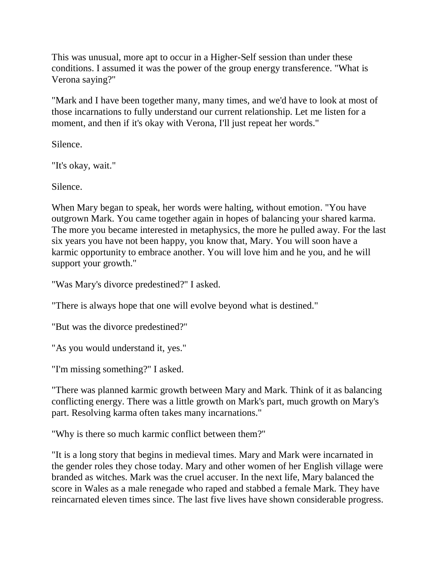This was unusual, more apt to occur in a Higher-Self session than under these conditions. I assumed it was the power of the group energy transference. "What is Verona saying?"

"Mark and I have been together many, many times, and we'd have to look at most of those incarnations to fully understand our current relationship. Let me listen for a moment, and then if it's okay with Verona, I'll just repeat her words."

Silence.

"It's okay, wait."

Silence.

When Mary began to speak, her words were halting, without emotion. "You have outgrown Mark. You came together again in hopes of balancing your shared karma. The more you became interested in metaphysics, the more he pulled away. For the last six years you have not been happy, you know that, Mary. You will soon have a karmic opportunity to embrace another. You will love him and he you, and he will support your growth."

"Was Mary's divorce predestined?" I asked.

"There is always hope that one will evolve beyond what is destined."

"But was the divorce predestined?"

"As you would understand it, yes."

"I'm missing something?" I asked.

"There was planned karmic growth between Mary and Mark. Think of it as balancing conflicting energy. There was a little growth on Mark's part, much growth on Mary's part. Resolving karma often takes many incarnations."

"Why is there so much karmic conflict between them?"

"It is a long story that begins in medieval times. Mary and Mark were incarnated in the gender roles they chose today. Mary and other women of her English village were branded as witches. Mark was the cruel accuser. In the next life, Mary balanced the score in Wales as a male renegade who raped and stabbed a female Mark. They have reincarnated eleven times since. The last five lives have shown considerable progress.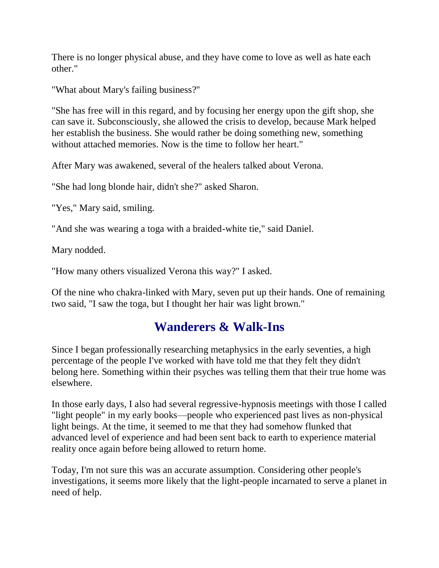There is no longer physical abuse, and they have come to love as well as hate each other."

"What about Mary's failing business?"

"She has free will in this regard, and by focusing her energy upon the gift shop, she can save it. Subconsciously, she allowed the crisis to develop, because Mark helped her establish the business. She would rather be doing something new, something without attached memories. Now is the time to follow her heart."

After Mary was awakened, several of the healers talked about Verona.

"She had long blonde hair, didn't she?" asked Sharon.

"Yes," Mary said, smiling.

"And she was wearing a toga with a braided-white tie," said Daniel.

Mary nodded.

"How many others visualized Verona this way?" I asked.

Of the nine who chakra-linked with Mary, seven put up their hands. One of remaining two said, "I saw the toga, but I thought her hair was light brown."

# **Wanderers & Walk-Ins**

Since I began professionally researching metaphysics in the early seventies, a high percentage of the people I've worked with have told me that they felt they didn't belong here. Something within their psyches was telling them that their true home was elsewhere.

In those early days, I also had several regressive-hypnosis meetings with those I called "light people" in my early books—people who experienced past lives as non-physical light beings. At the time, it seemed to me that they had somehow flunked that advanced level of experience and had been sent back to earth to experience material reality once again before being allowed to return home.

Today, I'm not sure this was an accurate assumption. Considering other people's investigations, it seems more likely that the light-people incarnated to serve a planet in need of help.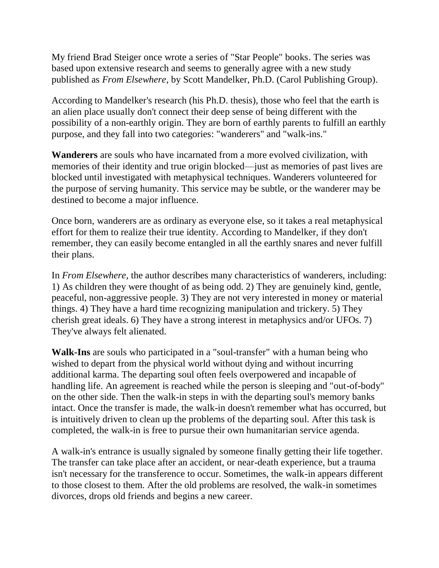My friend Brad Steiger once wrote a series of "Star People" books. The series was based upon extensive research and seems to generally agree with a new study published as *From Elsewhere*, by Scott Mandelker, Ph.D. (Carol Publishing Group).

According to Mandelker's research (his Ph.D. thesis), those who feel that the earth is an alien place usually don't connect their deep sense of being different with the possibility of a non-earthly origin. They are born of earthly parents to fulfill an earthly purpose, and they fall into two categories: "wanderers" and "walk-ins."

**Wanderers** are souls who have incarnated from a more evolved civilization, with memories of their identity and true origin blocked—just as memories of past lives are blocked until investigated with metaphysical techniques. Wanderers volunteered for the purpose of serving humanity. This service may be subtle, or the wanderer may be destined to become a major influence.

Once born, wanderers are as ordinary as everyone else, so it takes a real metaphysical effort for them to realize their true identity. According to Mandelker, if they don't remember, they can easily become entangled in all the earthly snares and never fulfill their plans.

In *From Elsewhere*, the author describes many characteristics of wanderers, including: 1) As children they were thought of as being odd. 2) They are genuinely kind, gentle, peaceful, non-aggressive people. 3) They are not very interested in money or material things. 4) They have a hard time recognizing manipulation and trickery. 5) They cherish great ideals. 6) They have a strong interest in metaphysics and/or UFOs. 7) They've always felt alienated.

**Walk-Ins** are souls who participated in a "soul-transfer" with a human being who wished to depart from the physical world without dying and without incurring additional karma. The departing soul often feels overpowered and incapable of handling life. An agreement is reached while the person is sleeping and "out-of-body" on the other side. Then the walk-in steps in with the departing soul's memory banks intact. Once the transfer is made, the walk-in doesn't remember what has occurred, but is intuitively driven to clean up the problems of the departing soul. After this task is completed, the walk-in is free to pursue their own humanitarian service agenda.

A walk-in's entrance is usually signaled by someone finally getting their life together. The transfer can take place after an accident, or near-death experience, but a trauma isn't necessary for the transference to occur. Sometimes, the walk-in appears different to those closest to them. After the old problems are resolved, the walk-in sometimes divorces, drops old friends and begins a new career.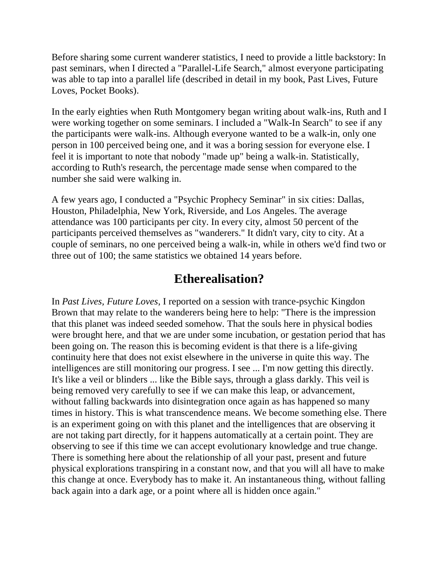Before sharing some current wanderer statistics, I need to provide a little backstory: In past seminars, when I directed a "Parallel-Life Search," almost everyone participating was able to tap into a parallel life (described in detail in my book, Past Lives, Future Loves, Pocket Books).

In the early eighties when Ruth Montgomery began writing about walk-ins, Ruth and I were working together on some seminars. I included a "Walk-In Search" to see if any the participants were walk-ins. Although everyone wanted to be a walk-in, only one person in 100 perceived being one, and it was a boring session for everyone else. I feel it is important to note that nobody "made up" being a walk-in. Statistically, according to Ruth's research, the percentage made sense when compared to the number she said were walking in.

A few years ago, I conducted a "Psychic Prophecy Seminar" in six cities: Dallas, Houston, Philadelphia, New York, Riverside, and Los Angeles. The average attendance was 100 participants per city. In every city, almost 50 percent of the participants perceived themselves as "wanderers." It didn't vary, city to city. At a couple of seminars, no one perceived being a walk-in, while in others we'd find two or three out of 100; the same statistics we obtained 14 years before.

#### **Etherealisation?**

In *Past Lives, Future Loves*, I reported on a session with trance-psychic Kingdon Brown that may relate to the wanderers being here to help: "There is the impression that this planet was indeed seeded somehow. That the souls here in physical bodies were brought here, and that we are under some incubation, or gestation period that has been going on. The reason this is becoming evident is that there is a life-giving continuity here that does not exist elsewhere in the universe in quite this way. The intelligences are still monitoring our progress. I see ... I'm now getting this directly. It's like a veil or blinders ... like the Bible says, through a glass darkly. This veil is being removed very carefully to see if we can make this leap, or advancement, without falling backwards into disintegration once again as has happened so many times in history. This is what transcendence means. We become something else. There is an experiment going on with this planet and the intelligences that are observing it are not taking part directly, for it happens automatically at a certain point. They are observing to see if this time we can accept evolutionary knowledge and true change. There is something here about the relationship of all your past, present and future physical explorations transpiring in a constant now, and that you will all have to make this change at once. Everybody has to make it. An instantaneous thing, without falling back again into a dark age, or a point where all is hidden once again."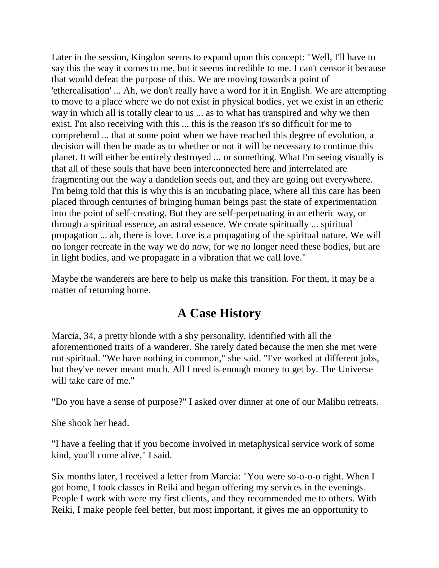Later in the session, Kingdon seems to expand upon this concept: "Well, I'll have to say this the way it comes to me, but it seems incredible to me. I can't censor it because that would defeat the purpose of this. We are moving towards a point of 'etherealisation' ... Ah, we don't really have a word for it in English. We are attempting to move to a place where we do not exist in physical bodies, yet we exist in an etheric way in which all is totally clear to us ... as to what has transpired and why we then exist. I'm also receiving with this ... this is the reason it's so difficult for me to comprehend ... that at some point when we have reached this degree of evolution, a decision will then be made as to whether or not it will be necessary to continue this planet. It will either be entirely destroyed ... or something. What I'm seeing visually is that all of these souls that have been interconnected here and interrelated are fragmenting out the way a dandelion seeds out, and they are going out everywhere. I'm being told that this is why this is an incubating place, where all this care has been placed through centuries of bringing human beings past the state of experimentation into the point of self-creating. But they are self-perpetuating in an etheric way, or through a spiritual essence, an astral essence. We create spiritually ... spiritual propagation ... ah, there is love. Love is a propagating of the spiritual nature. We will no longer recreate in the way we do now, for we no longer need these bodies, but are in light bodies, and we propagate in a vibration that we call love."

Maybe the wanderers are here to help us make this transition. For them, it may be a matter of returning home.

#### **A Case History**

Marcia, 34, a pretty blonde with a shy personality, identified with all the aforementioned traits of a wanderer. She rarely dated because the men she met were not spiritual. "We have nothing in common," she said. "I've worked at different jobs, but they've never meant much. All I need is enough money to get by. The Universe will take care of me."

"Do you have a sense of purpose?" I asked over dinner at one of our Malibu retreats.

She shook her head.

"I have a feeling that if you become involved in metaphysical service work of some kind, you'll come alive," I said.

Six months later, I received a letter from Marcia: "You were so-o-o-o right. When I got home, I took classes in Reiki and began offering my services in the evenings. People I work with were my first clients, and they recommended me to others. With Reiki, I make people feel better, but most important, it gives me an opportunity to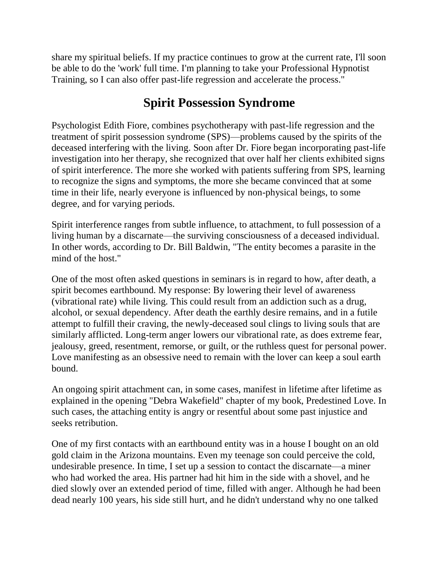share my spiritual beliefs. If my practice continues to grow at the current rate, I'll soon be able to do the 'work' full time. I'm planning to take your Professional Hypnotist Training, so I can also offer past-life regression and accelerate the process."

# **Spirit Possession Syndrome**

Psychologist Edith Fiore, combines psychotherapy with past-life regression and the treatment of spirit possession syndrome (SPS)—problems caused by the spirits of the deceased interfering with the living. Soon after Dr. Fiore began incorporating past-life investigation into her therapy, she recognized that over half her clients exhibited signs of spirit interference. The more she worked with patients suffering from SPS, learning to recognize the signs and symptoms, the more she became convinced that at some time in their life, nearly everyone is influenced by non-physical beings, to some degree, and for varying periods.

Spirit interference ranges from subtle influence, to attachment, to full possession of a living human by a discarnate—the surviving consciousness of a deceased individual. In other words, according to Dr. Bill Baldwin, "The entity becomes a parasite in the mind of the host."

One of the most often asked questions in seminars is in regard to how, after death, a spirit becomes earthbound. My response: By lowering their level of awareness (vibrational rate) while living. This could result from an addiction such as a drug, alcohol, or sexual dependency. After death the earthly desire remains, and in a futile attempt to fulfill their craving, the newly-deceased soul clings to living souls that are similarly afflicted. Long-term anger lowers our vibrational rate, as does extreme fear, jealousy, greed, resentment, remorse, or guilt, or the ruthless quest for personal power. Love manifesting as an obsessive need to remain with the lover can keep a soul earth bound.

An ongoing spirit attachment can, in some cases, manifest in lifetime after lifetime as explained in the opening "Debra Wakefield" chapter of my book, Predestined Love. In such cases, the attaching entity is angry or resentful about some past injustice and seeks retribution.

One of my first contacts with an earthbound entity was in a house I bought on an old gold claim in the Arizona mountains. Even my teenage son could perceive the cold, undesirable presence. In time, I set up a session to contact the discarnate—a miner who had worked the area. His partner had hit him in the side with a shovel, and he died slowly over an extended period of time, filled with anger. Although he had been dead nearly 100 years, his side still hurt, and he didn't understand why no one talked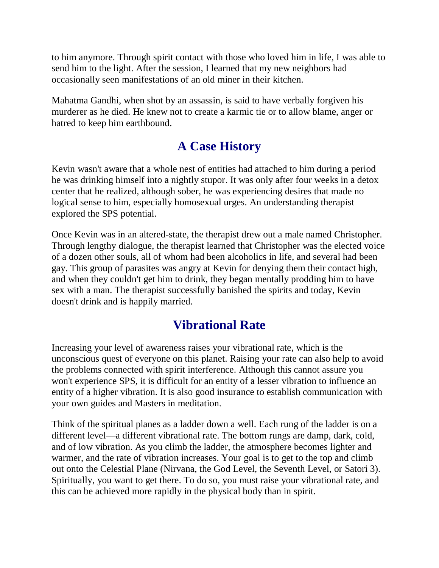to him anymore. Through spirit contact with those who loved him in life, I was able to send him to the light. After the session, I learned that my new neighbors had occasionally seen manifestations of an old miner in their kitchen.

Mahatma Gandhi, when shot by an assassin, is said to have verbally forgiven his murderer as he died. He knew not to create a karmic tie or to allow blame, anger or hatred to keep him earthbound.

### **A Case History**

Kevin wasn't aware that a whole nest of entities had attached to him during a period he was drinking himself into a nightly stupor. It was only after four weeks in a detox center that he realized, although sober, he was experiencing desires that made no logical sense to him, especially homosexual urges. An understanding therapist explored the SPS potential.

Once Kevin was in an altered-state, the therapist drew out a male named Christopher. Through lengthy dialogue, the therapist learned that Christopher was the elected voice of a dozen other souls, all of whom had been alcoholics in life, and several had been gay. This group of parasites was angry at Kevin for denying them their contact high, and when they couldn't get him to drink, they began mentally prodding him to have sex with a man. The therapist successfully banished the spirits and today, Kevin doesn't drink and is happily married.

# **Vibrational Rate**

Increasing your level of awareness raises your vibrational rate, which is the unconscious quest of everyone on this planet. Raising your rate can also help to avoid the problems connected with spirit interference. Although this cannot assure you won't experience SPS, it is difficult for an entity of a lesser vibration to influence an entity of a higher vibration. It is also good insurance to establish communication with your own guides and Masters in meditation.

Think of the spiritual planes as a ladder down a well. Each rung of the ladder is on a different level—a different vibrational rate. The bottom rungs are damp, dark, cold, and of low vibration. As you climb the ladder, the atmosphere becomes lighter and warmer, and the rate of vibration increases. Your goal is to get to the top and climb out onto the Celestial Plane (Nirvana, the God Level, the Seventh Level, or Satori 3). Spiritually, you want to get there. To do so, you must raise your vibrational rate, and this can be achieved more rapidly in the physical body than in spirit.